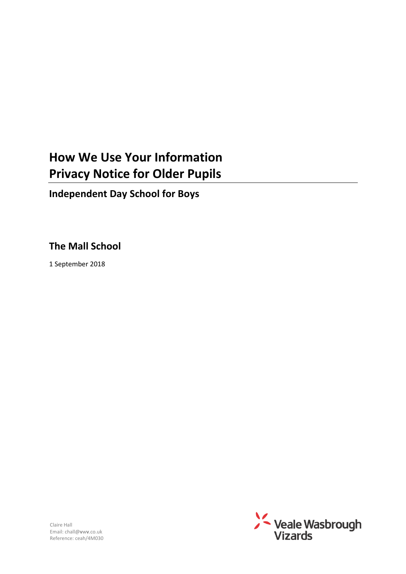# **How We Use Your Information Privacy Notice for Older Pupils**

**Independent Day School for Boys**

## **The Mall School**

1 September 2018

Claire Hall Email: chall@**v**w**v**.co.uk Reference: ceah/4M030

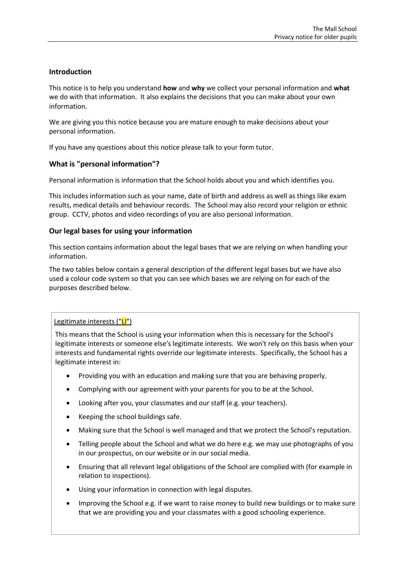## **Introduction**

This notice is to help you understand **how** and **why** we collect your personal information and **what** we do with that information. It also explains the decisions that you can make about your own information.

We are giving you this notice because you are mature enough to make decisions about your personal information.

If you have any questions about this notice please talk to your form tutor.

## **What is "personal information"?**

Personal information is information that the School holds about you and which identifies you.

This includes information such as your name, date of birth and address as well as things like exam results, medical details and behaviour records. The School may also record your religion or ethnic group. CCTV, photos and video recordings of you are also personal information.

## **Our legal bases for using your information**

This section contains information about the legal bases that we are relying on when handling your information.

The two tables below contain a general description of the different legal bases but we have also used a colour code system so that you can see which bases we are relying on for each of the purposes described below.

## Legitimate interests ("LI")

This means that the School is using your information when this is necessary for the School's legitimate interests or someone else's legitimate interests. We won't rely on this basis when your interests and fundamental rights override our legitimate interests. Specifically, the School has a legitimate interest in:

- Providing you with an education and making sure that you are behaving properly.
- Complying with our agreement with your parents for you to be at the School.
- Looking after you, your classmates and our staff (e.g. your teachers).
- Keeping the school buildings safe.
- Making sure that the School is well managed and that we protect the School's reputation.
- Telling people about the School and what we do here e.g. we may use photographs of you in our prospectus, on our website or in our social media.
- Ensuring that all relevant legal obligations of the School are complied with (for example in relation to inspections).
- Using your information in connection with legal disputes.
- Improving the School e.g. if we want to raise money to build new buildings or to make sure that we are providing you and your classmates with a good schooling experience.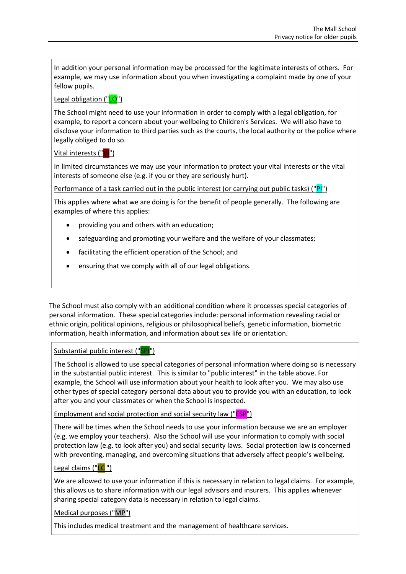In addition your personal information may be processed for the legitimate interests of others. For example, we may use information about you when investigating a complaint made by one of your fellow pupils.

## Legal obligation ("LO")

The School might need to use your information in order to comply with a legal obligation, for example, to report a concern about your wellbeing to Children's Services. We will also have to disclose your information to third parties such as the courts, the local authority or the police where legally obliged to do so.

## Vital interests ("VI")

In limited circumstances we may use your information to protect your vital interests or the vital interests of someone else (e.g. if you or they are seriously hurt).

Performance of a task carried out in the public interest (or carrying out public tasks) ("PI")

This applies where what we are doing is for the benefit of people generally. The following are examples of where this applies:

- providing you and others with an education;
- safeguarding and promoting your welfare and the welfare of your classmates;
- facilitating the efficient operation of the School; and
- ensuring that we comply with all of our legal obligations.

The School must also comply with an additional condition where it processes special categories of personal information. These special categories include: personal information revealing racial or ethnic origin, political opinions, religious or philosophical beliefs, genetic information, biometric information, health information, and information about sex life or orientation.

## Substantial public interest ("SPI")

The School is allowed to use special categories of personal information where doing so is necessary in the substantial public interest. This is similar to "public interest" in the table above. For example, the School will use information about your health to look after you. We may also use other types of special category personal data about you to provide you with an education, to look after you and your classmates or when the School is inspected.

Employment and social protection and social security law ("**ESP**")

There will be times when the School needs to use your information because we are an employer (e.g. we employ your teachers). Also the School will use your information to comply with social protection law (e.g. to look after you) and social security laws. Social protection law is concerned with preventing, managing, and overcoming situations that adversely affect people's wellbeing.

## Legal claims ("LC")

We are allowed to use your information if this is necessary in relation to legal claims. For example, this allows us to share information with our legal advisors and insurers. This applies whenever sharing special category data is necessary in relation to legal claims.

Medical purposes ("MP")

This includes medical treatment and the management of healthcare services.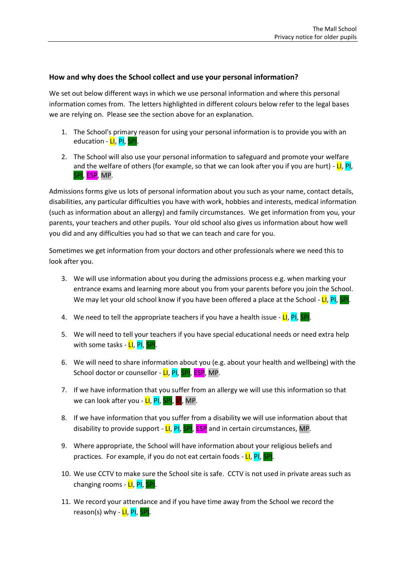## **How and why does the School collect and use your personal information?**

We set out below different ways in which we use personal information and where this personal information comes from. The letters highlighted in different colours below refer to the legal bases we are relying on. Please see the section above for an explanation.

- 1. The School's primary reason for using your personal information is to provide you with an education - LI, PI, SPI.
- 2. The School will also use your personal information to safeguard and promote your welfare and the welfare of others (for example, so that we can look after you if you are hurt) -  $LI$ , Pl, SPI, ESP, MP.

Admissions forms give us lots of personal information about you such as your name, contact details, disabilities, any particular difficulties you have with work, hobbies and interests, medical information (such as information about an allergy) and family circumstances. We get information from you, your parents, your teachers and other pupils. Your old school also gives us information about how well you did and any difficulties you had so that we can teach and care for you.

Sometimes we get information from your doctors and other professionals where we need this to look after you.

- 3. We will use information about you during the admissions process e.g. when marking your entrance exams and learning more about you from your parents before you join the School. We may let your old school know if you have been offered a place at the School -  $LI$ , PI, SPI.
- 4. We need to tell the appropriate teachers if you have a health issue  $LI$ ,  $PI$ ,  $SPI$ .
- 5. We will need to tell your teachers if you have special educational needs or need extra help with some tasks - LI, PI, SPI.
- 6. We will need to share information about you (e.g. about your health and wellbeing) with the School doctor or counsellor -  $LI$ ,  $PI$ ,  $SPI$ ,  $ESP$ , MP.
- 7. If we have information that you suffer from an allergy we will use this information so that we can look after you - LI, PI, SPI, VI, MP.
- 8. If we have information that you suffer from a disability we will use information about that disability to provide support -  $LI$ ,  $PI$ ,  $SPI$ ,  $ESP$  and in certain circumstances, MP.
- 9. Where appropriate, the School will have information about your religious beliefs and practices. For example, if you do not eat certain foods - LI, PI, SPI.
- 10. We use CCTV to make sure the School site is safe. CCTV is not used in private areas such as changing rooms - LI, PI, SPI.
- 11. We record your attendance and if you have time away from the School we record the reason(s) why - LI, PI, SPI.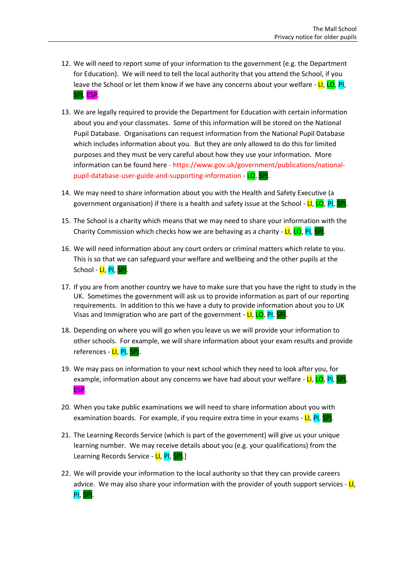- 12. We will need to report some of your information to the government (e.g. the Department for Education). We will need to tell the local authority that you attend the School, if you leave the School or let them know if we have any concerns about your welfare - LI, LO, PI, SPI, ESP.
- 13. We are legally required to provide the Department for Education with certain information about you and your classmates. Some of this information will be stored on the National Pupil Database. Organisations can request information from the National Pupil Database which includes information about you. But they are only allowed to do this for limited purposes and they must be very careful about how they use your information. More information can be found here - [https://www.gov.uk/government/publications/national](https://www.gov.uk/government/publications/national-pupil-database-user-guide-and-supporting-information)[pupil-database-user-guide-and-supporting-information](https://www.gov.uk/government/publications/national-pupil-database-user-guide-and-supporting-information) - LO, SPI.
- 14. We may need to share information about you with the Health and Safety Executive (a government organisation) if there is a health and safety issue at the School - LI, LO, PI, SPI.
- 15. The School is a charity which means that we may need to share your information with the Charity Commission which checks how we are behaving as a charity - LI, LO, PI, SPI.
- 16. We will need information about any court orders or criminal matters which relate to you. This is so that we can safeguard your welfare and wellbeing and the other pupils at the School - <mark>LI</mark>, <mark>PI, SPI</mark>.
- 17. If you are from another country we have to make sure that you have the right to study in the UK. Sometimes the government will ask us to provide information as part of our reporting requirements. In addition to this we have a duty to provide information about you to UK Visas and Immigration who are part of the government - LI, LO, PI, SPI.
- 18. Depending on where you will go when you leave us we will provide your information to other schools. For example, we will share information about your exam results and provide references - LI, PI, SPI.
- 19. We may pass on information to your next school which they need to look after you, for example, information about any concerns we have had about your welfare - LI, LO, PI, SPI, ESP.
- 20. When you take public examinations we will need to share information about you with examination boards. For example, if you require extra time in your exams - LI, PI, SPI.
- 21. The Learning Records Service (which is part of the government) will give us your unique learning number. We may receive details about you (e.g. your qualifications) from the Learning Records Service - LI, PI, SPI.]
- 22. We will provide your information to the local authority so that they can provide careers advice. We may also share your information with the provider of youth support services -  $LI$ , PI, SPI.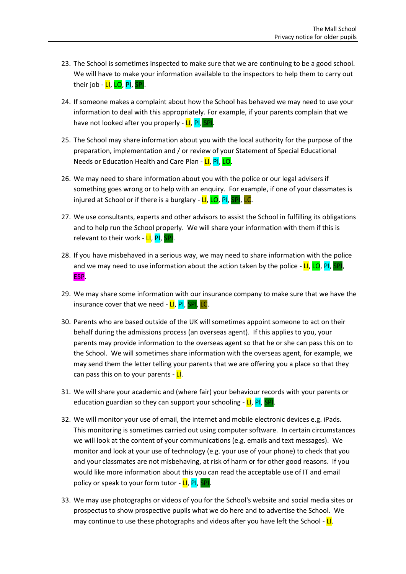- 23. The School is sometimes inspected to make sure that we are continuing to be a good school. We will have to make your information available to the inspectors to help them to carry out their job - LI, LO, PI, SPI.
- 24. If someone makes a complaint about how the School has behaved we may need to use your information to deal with this appropriately. For example, if your parents complain that we have not looked after you properly - LI, PI, SPI.
- 25. The School may share information about you with the local authority for the purpose of the preparation, implementation and / or review of your Statement of Special Educational Needs or Education Health and Care Plan - LI, PI, LO.
- 26. We may need to share information about you with the police or our legal advisers if something goes wrong or to help with an enquiry. For example, if one of your classmates is injured at School or if there is a burglary - LI, LO, PI, SPI, LC.
- 27. We use consultants, experts and other advisors to assist the School in fulfilling its obligations and to help run the School properly. We will share your information with them if this is relevant to their work - LI, PI, SPI.
- 28. If you have misbehaved in a serious way, we may need to share information with the police and we may need to use information about the action taken by the police -  $LI$ , LO, PI, SPI, ESP.
- 29. We may share some information with our insurance company to make sure that we have the insurance cover that we need - LI, PI, SPI, LC.
- 30. Parents who are based outside of the UK will sometimes appoint someone to act on their behalf during the admissions process (an overseas agent). If this applies to you, your parents may provide information to the overseas agent so that he or she can pass this on to the School. We will sometimes share information with the overseas agent, for example, we may send them the letter telling your parents that we are offering you a place so that they can pass this on to your parents - LI.
- 31. We will share your academic and (where fair) your behaviour records with your parents or education guardian so they can support your schooling - LI, PI, SPI.
- 32. We will monitor your use of email, the internet and mobile electronic devices e.g. iPads. This monitoring is sometimes carried out using computer software. In certain circumstances we will look at the content of your communications (e.g. emails and text messages). We monitor and look at your use of technology (e.g. your use of your phone) to check that you and your classmates are not misbehaving, at risk of harm or for other good reasons. If you would like more information about this you can read the acceptable use of IT and email policy or speak to your form tutor - LI, PI, SPI.
- 33. We may use photographs or videos of you for the School's website and social media sites or prospectus to show prospective pupils what we do here and to advertise the School. We may continue to use these photographs and videos after you have left the School -  $L$ .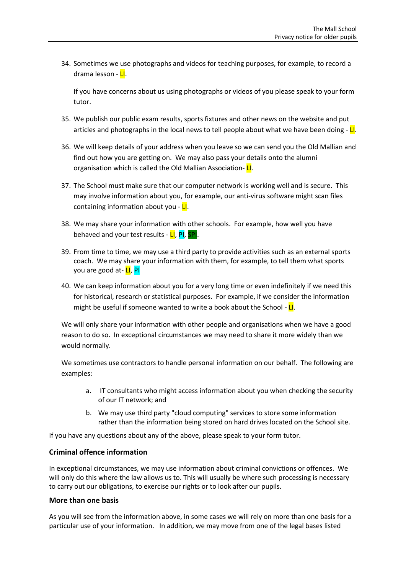34. Sometimes we use photographs and videos for teaching purposes, for example, to record a drama lesson - LI.

If you have concerns about us using photographs or videos of you please speak to your form tutor.

- 35. We publish our public exam results, sports fixtures and other news on the website and put articles and photographs in the local news to tell people about what we have been doing  $-\mathbf{L}$ .
- 36. We will keep details of your address when you leave so we can send you the Old Mallian and find out how you are getting on. We may also pass your details onto the alumni organisation which is called the Old Mallian Association- LI.
- 37. The School must make sure that our computer network is working well and is secure. This may involve information about you, for example, our anti-virus software might scan files containing information about you - LI.
- 38. We may share your information with other schools. For example, how well you have behaved and your test results - LI, PI, SPI.
- 39. From time to time, we may use a third party to provide activities such as an external sports coach. We may share your information with them, for example, to tell them what sports you are good at- **LI**, **PI**
- 40. We can keep information about you for a very long time or even indefinitely if we need this for historical, research or statistical purposes. For example, if we consider the information might be useful if someone wanted to write a book about the School -  $L$ .

We will only share your information with other people and organisations when we have a good reason to do so. In exceptional circumstances we may need to share it more widely than we would normally.

We sometimes use contractors to handle personal information on our behalf. The following are examples:

- a. IT consultants who might access information about you when checking the security of our IT network; and
- b. We may use third party "cloud computing" services to store some information rather than the information being stored on hard drives located on the School site.

If you have any questions about any of the above, please speak to your form tutor.

## **Criminal offence information**

In exceptional circumstances, we may use information about criminal convictions or offences. We will only do this where the law allows us to. This will usually be where such processing is necessary to carry out our obligations, to exercise our rights or to look after our pupils.

#### **More than one basis**

As you will see from the information above, in some cases we will rely on more than one basis for a particular use of your information. In addition, we may move from one of the legal bases listed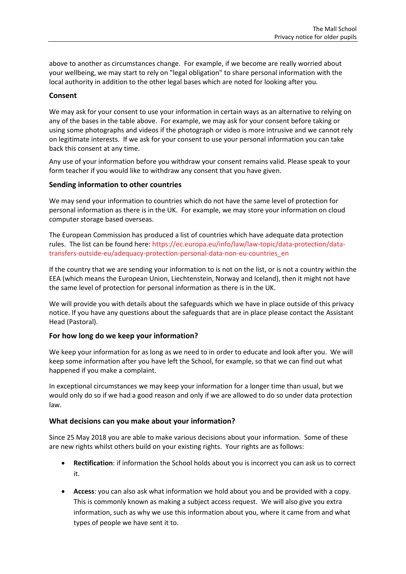above to another as circumstances change. For example, if we become are really worried about your wellbeing, we may start to rely on "legal obligation" to share personal information with the local authority in addition to the other legal bases which are noted for looking after you.

### **Consent**

We may ask for your consent to use your information in certain ways as an alternative to relying on any of the bases in the table above. For example, we may ask for your consent before taking or using some photographs and videos if the photograph or video is more intrusive and we cannot rely on legitimate interests. If we ask for your consent to use your personal information you can take back this consent at any time.

Any use of your information before you withdraw your consent remains valid. Please speak to your form teacher if you would like to withdraw any consent that you have given.

#### **Sending information to other countries**

We may send your information to countries which do not have the same level of protection for personal information as there is in the UK. For example, we may store your information on cloud computer storage based overseas.

The European Commission has produced a list of countries which have adequate data protection rules. The list can be found here: [https://ec.europa.eu/info/law/law-topic/data-protection/data](https://ec.europa.eu/info/law/law-topic/data-protection/data-transfers-outside-eu/adequacy-protection-personal-data-non-eu-countries_en)[transfers-outside-eu/adequacy-protection-personal-data-non-eu-countries\\_en](https://ec.europa.eu/info/law/law-topic/data-protection/data-transfers-outside-eu/adequacy-protection-personal-data-non-eu-countries_en)

If the country that we are sending your information to is not on the list, or is not a country within the EEA (which means the European Union, Liechtenstein, Norway and Iceland), then it might not have the same level of protection for personal information as there is in the UK.

We will provide you with details about the safeguards which we have in place outside of this privacy notice. If you have any questions about the safeguards that are in place please contact the Assistant Head (Pastoral).

#### **For how long do we keep your information?**

We keep your information for as long as we need to in order to educate and look after you. We will keep some information after you have left the School, for example, so that we can find out what happened if you make a complaint.

In exceptional circumstances we may keep your information for a longer time than usual, but we would only do so if we had a good reason and only if we are allowed to do so under data protection law.

## **What decisions can you make about your information?**

Since 25 May 2018 you are able to make various decisions about your information. Some of these are new rights whilst others build on your existing rights. Your rights are as follows:

- **Rectification**: if information the School holds about you is incorrect you can ask us to correct it.
- **Access**: you can also ask what information we hold about you and be provided with a copy. This is commonly known as making a subject access request. We will also give you extra information, such as why we use this information about you, where it came from and what types of people we have sent it to.